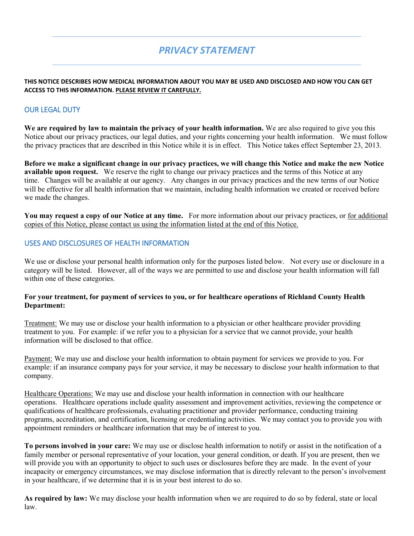# *PRIVACY STATEMENT*

#### **THIS NOTICE DESCRIBES HOW MEDICAL INFORMATION ABOUT YOU MAY BE USED AND DISCLOSED AND HOW YOU CAN GET ACCESS TO THIS INFORMATION. PLEASE REVIEW IT CAREFULLY.**

# OUR LEGAL DUTY

**We are required by law to maintain the privacy of your health information.** We are also required to give you this Notice about our privacy practices, our legal duties, and your rights concerning your health information. We must follow the privacy practices that are described in this Notice while it is in effect. This Notice takes effect September 23, 2013.

**Before we make a significant change in our privacy practices, we will change this Notice and make the new Notice available upon request.** We reserve the right to change our privacy practices and the terms of this Notice at any time. Changes will be available at our agency. Any changes in our privacy practices and the new terms of our Notice will be effective for all health information that we maintain, including health information we created or received before we made the changes.

**You may request a copy of our Notice at any time.** For more information about our privacy practices, or for additional copies of this Notice, please contact us using the information listed at the end of this Notice.

## USES AND DISCLOSURES OF HEALTH INFORMATION

We use or disclose your personal health information only for the purposes listed below. Not every use or disclosure in a category will be listed. However, all of the ways we are permitted to use and disclose your health information will fall within one of these categories.

#### **For your treatment, for payment of services to you, or for healthcare operations of Richland County Health Department:**

Treatment: We may use or disclose your health information to a physician or other healthcare provider providing treatment to you. For example: if we refer you to a physician for a service that we cannot provide, your health information will be disclosed to that office.

Payment: We may use and disclose your health information to obtain payment for services we provide to you. For example: if an insurance company pays for your service, it may be necessary to disclose your health information to that company.

Healthcare Operations: We may use and disclose your health information in connection with our healthcare operations. Healthcare operations include quality assessment and improvement activities, reviewing the competence or qualifications of healthcare professionals, evaluating practitioner and provider performance, conducting training programs, accreditation, and certification, licensing or credentialing activities. We may contact you to provide you with appointment reminders or healthcare information that may be of interest to you.

**To persons involved in your care:** We may use or disclose health information to notify or assist in the notification of a family member or personal representative of your location, your general condition, or death. If you are present, then we will provide you with an opportunity to object to such uses or disclosures before they are made. In the event of your incapacity or emergency circumstances, we may disclose information that is directly relevant to the person's involvement in your healthcare, if we determine that it is in your best interest to do so.

**As required by law:** We may disclose your health information when we are required to do so by federal, state or local law.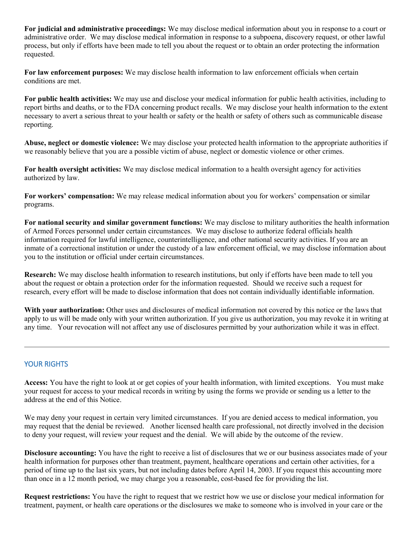**For judicial and administrative proceedings:** We may disclose medical information about you in response to a court or administrative order. We may disclose medical information in response to a subpoena, discovery request, or other lawful process, but only if efforts have been made to tell you about the request or to obtain an order protecting the information requested.

**For law enforcement purposes:** We may disclose health information to law enforcement officials when certain conditions are met.

**For public health activities:** We may use and disclose your medical information for public health activities, including to report births and deaths, or to the FDA concerning product recalls. We may disclose your health information to the extent necessary to avert a serious threat to your health or safety or the health or safety of others such as communicable disease reporting.

**Abuse, neglect or domestic violence:** We may disclose your protected health information to the appropriate authorities if we reasonably believe that you are a possible victim of abuse, neglect or domestic violence or other crimes.

**For health oversight activities:** We may disclose medical information to a health oversight agency for activities authorized by law.

**For workers' compensation:** We may release medical information about you for workers' compensation or similar programs.

**For national security and similar government functions:** We may disclose to military authorities the health information of Armed Forces personnel under certain circumstances. We may disclose to authorize federal officials health information required for lawful intelligence, counterintelligence, and other national security activities. If you are an inmate of a correctional institution or under the custody of a law enforcement official, we may disclose information about you to the institution or official under certain circumstances.

**Research:** We may disclose health information to research institutions, but only if efforts have been made to tell you about the request or obtain a protection order for the information requested. Should we receive such a request for research, every effort will be made to disclose information that does not contain individually identifiable information.

**With your authorization:** Other uses and disclosures of medical information not covered by this notice or the laws that apply to us will be made only with your written authorization. If you give us authorization, you may revoke it in writing at any time. Your revocation will not affect any use of disclosures permitted by your authorization while it was in effect.

## YOUR RIGHTS

**Access:** You have the right to look at or get copies of your health information, with limited exceptions. You must make your request for access to your medical records in writing by using the forms we provide or sending us a letter to the address at the end of this Notice.

We may deny your request in certain very limited circumstances. If you are denied access to medical information, you may request that the denial be reviewed. Another licensed health care professional, not directly involved in the decision to deny your request, will review your request and the denial. We will abide by the outcome of the review.

**Disclosure accounting:** You have the right to receive a list of disclosures that we or our business associates made of your health information for purposes other than treatment, payment, healthcare operations and certain other activities, for a period of time up to the last six years, but not including dates before April 14, 2003. If you request this accounting more than once in a 12 month period, we may charge you a reasonable, cost-based fee for providing the list.

**Request restrictions:** You have the right to request that we restrict how we use or disclose your medical information for treatment, payment, or health care operations or the disclosures we make to someone who is involved in your care or the